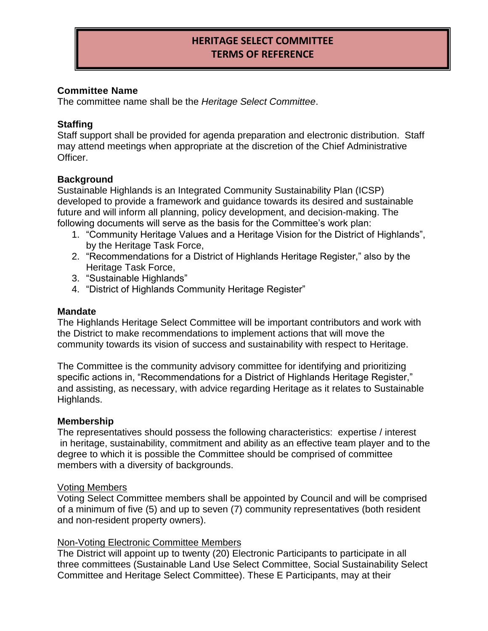# **HERITAGE SELECT COMMITTEE TERMS OF REFERENCE**

# **Committee Name**

The committee name shall be the *Heritage Select Committee*.

# **Staffing**

Staff support shall be provided for agenda preparation and electronic distribution. Staff may attend meetings when appropriate at the discretion of the Chief Administrative Officer.

### **Background**

Sustainable Highlands is an Integrated Community Sustainability Plan (ICSP) developed to provide a framework and guidance towards its desired and sustainable future and will inform all planning, policy development, and decision-making. The following documents will serve as the basis for the Committee's work plan:

- 1. "Community Heritage Values and a Heritage Vision for the District of Highlands", by the Heritage Task Force,
- 2. "Recommendations for a District of Highlands Heritage Register," also by the Heritage Task Force,
- 3. "Sustainable Highlands"
- 4. "District of Highlands Community Heritage Register"

#### **Mandate**

The Highlands Heritage Select Committee will be important contributors and work with the District to make recommendations to implement actions that will move the community towards its vision of success and sustainability with respect to Heritage.

The Committee is the community advisory committee for identifying and prioritizing specific actions in, "Recommendations for a District of Highlands Heritage Register," and assisting, as necessary, with advice regarding Heritage as it relates to Sustainable Highlands.

#### **Membership**

The representatives should possess the following characteristics: expertise / interest in heritage, sustainability, commitment and ability as an effective team player and to the degree to which it is possible the Committee should be comprised of committee members with a diversity of backgrounds.

#### Voting Members

Voting Select Committee members shall be appointed by Council and will be comprised of a minimum of five (5) and up to seven (7) community representatives (both resident and non-resident property owners).

#### Non-Voting Electronic Committee Members

The District will appoint up to twenty (20) Electronic Participants to participate in all three committees (Sustainable Land Use Select Committee, Social Sustainability Select Committee and Heritage Select Committee). These E Participants, may at their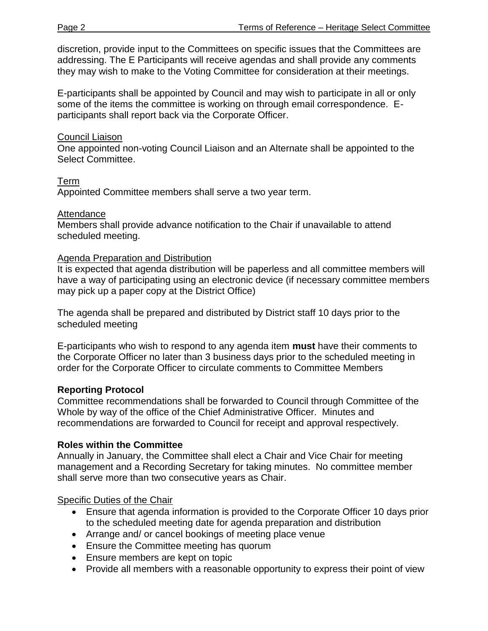discretion, provide input to the Committees on specific issues that the Committees are addressing. The E Participants will receive agendas and shall provide any comments they may wish to make to the Voting Committee for consideration at their meetings.

E-participants shall be appointed by Council and may wish to participate in all or only some of the items the committee is working on through email correspondence. Eparticipants shall report back via the Corporate Officer.

# Council Liaison

One appointed non-voting Council Liaison and an Alternate shall be appointed to the Select Committee.

# Term

Appointed Committee members shall serve a two year term.

#### **Attendance**

Members shall provide advance notification to the Chair if unavailable to attend scheduled meeting.

#### Agenda Preparation and Distribution

It is expected that agenda distribution will be paperless and all committee members will have a way of participating using an electronic device (if necessary committee members may pick up a paper copy at the District Office)

The agenda shall be prepared and distributed by District staff 10 days prior to the scheduled meeting

E-participants who wish to respond to any agenda item **must** have their comments to the Corporate Officer no later than 3 business days prior to the scheduled meeting in order for the Corporate Officer to circulate comments to Committee Members

# **Reporting Protocol**

Committee recommendations shall be forwarded to Council through Committee of the Whole by way of the office of the Chief Administrative Officer. Minutes and recommendations are forwarded to Council for receipt and approval respectively.

#### **Roles within the Committee**

Annually in January, the Committee shall elect a Chair and Vice Chair for meeting management and a Recording Secretary for taking minutes. No committee member shall serve more than two consecutive years as Chair.

# Specific Duties of the Chair

- Ensure that agenda information is provided to the Corporate Officer 10 days prior to the scheduled meeting date for agenda preparation and distribution
- Arrange and/ or cancel bookings of meeting place venue
- Ensure the Committee meeting has quorum
- Ensure members are kept on topic
- Provide all members with a reasonable opportunity to express their point of view